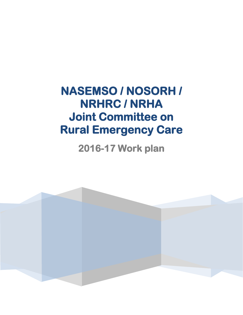**NASEMSO / NOSORH / NRHRC / NRHA Joint Committee on Rural Emergency Care** 

# **2016-17 Work plan**

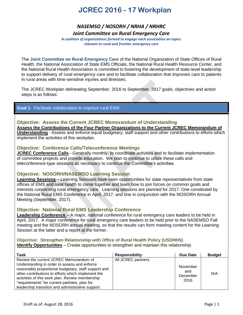### *NASEMSO / NOSORH / NRHA / NRHRC*

*Joint Committee on Rural Emergency Care*

*A coalition of organizations formed to engage each association on topics relevant to rural and frontier emergency care*

The **Joint Committee on Rural Emergency Care** of the National Organization of State Offices of Rural Health, the National Association of State EMS Officials, the National Rural Health Resource Center, and the National Rural Health Association is committed to fostering the development of state-level leadership to support delivery of rural emergency care and to facilitate collaboration that improves care to patients in rural areas with time-sensitive injuries and illnesses.

The JCREC Workplan delineating September, 2016 to September, 2017 goals, objectives and action steps is as follows:

### **Goal 1**: Facilitate collaboration to improve rural EMS.

### **Objective: Assess the Current JCREC Memorandum of Understanding**

**Assess the Contributions of the Four Partner Organizations to the Current JCREC Memorandum of Understanding** - Assess and enforce equal budgetary, staff support and other contributions to efforts which implement the activities of this workplan.

### **Objective: Conference Calls/Teleconference Meetings**

**JCREC Conference Calls -** Generally monthly, to coordinate activities and to facilitate implementation of committee projects and provide education. We plan to continue to utilize these calls and teleconference-type sessions as necessary to continue the Committee's activities.

### **Objective: NOSORH/NASEMSO Learning Session**

**Learning Sessions** – Learning Sessions have been opportunities for state representatives from state offices of EMS and rural health to come together and learn how to join forces on common goals and interests concerning rural emergency care. Learning sessions are planned for 2017: One constituted by the National Rural EMS Conference in April, 2017, and one in conjunction with the NOSORH Annual Meeting (September, 2017).

### **Objective: National Rural EMS Leadership Conference**

**Leadership Conference** – A major, national conference for rural emergency care leaders to be held in April, 2017. A major conference for rural emergency care leaders to be held prior to the NASEMSO Fall meeting and the NOSORH annual meeting, so that the results can form meeting content for the Learning Session at the latter and a report at the former.

### **Objective: Strengthen Relationship with Office of Rural Health Policy (USDHHS)**

**Identify Opportunities** – Create opportunities to strengthen and maintain this relationship.

| Task                                                                                                                                                                                                                                                                                                                                                          | <b>Responsibility</b> | Due Date                            | <b>Budget</b> |
|---------------------------------------------------------------------------------------------------------------------------------------------------------------------------------------------------------------------------------------------------------------------------------------------------------------------------------------------------------------|-----------------------|-------------------------------------|---------------|
| Review the current JCREC Memorandum of<br>Understanding in order to assess and enforce<br>reasonably proportional budgetary, staff support and<br>other contributions to efforts which implement the<br>activities of this work plan. Review membership<br>"requirements" for current partners, plan for<br>leadership transition and administrative support. | All JCREC partners.   | November<br>and<br>December<br>2016 | N/A           |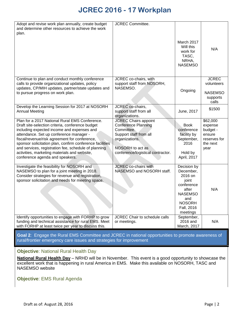| Adopt and revise work plan annually, create budget                                                                                                                                                                                                                                                                                                                                                                                                  | <b>JCREC Committee.</b>                                                                                                                                                      |                                                                                                                                         |                                                                               |
|-----------------------------------------------------------------------------------------------------------------------------------------------------------------------------------------------------------------------------------------------------------------------------------------------------------------------------------------------------------------------------------------------------------------------------------------------------|------------------------------------------------------------------------------------------------------------------------------------------------------------------------------|-----------------------------------------------------------------------------------------------------------------------------------------|-------------------------------------------------------------------------------|
| and determine other resources to achieve the work<br>plan.                                                                                                                                                                                                                                                                                                                                                                                          |                                                                                                                                                                              |                                                                                                                                         |                                                                               |
|                                                                                                                                                                                                                                                                                                                                                                                                                                                     |                                                                                                                                                                              | March 2017<br>Will this<br>work for<br>TASC,<br>NRHA,<br><b>NASEMSO</b>                                                                 | N/A                                                                           |
| Continue to plan and conduct monthly conference<br>calls to provide organizational updates, policy                                                                                                                                                                                                                                                                                                                                                  | JCREC co-chairs, with<br>support staff from NOSORH,                                                                                                                          |                                                                                                                                         | <b>JCREC</b><br>volunteers                                                    |
| updates, CP/MIH updates, partner/state updates and<br>to pursue progress on work plan.                                                                                                                                                                                                                                                                                                                                                              | NASEMSO.                                                                                                                                                                     | Ongoing                                                                                                                                 | <b>NASEMSO</b><br>supports<br>calls                                           |
| Develop the Learning Session for 2017 at NOSORH<br><b>Annual Meeting</b>                                                                                                                                                                                                                                                                                                                                                                            | JCREC co-chairs,<br>support staff from all<br>organizations.                                                                                                                 | June, 2017                                                                                                                              | \$1500                                                                        |
| Plan for a 2017 National Rural EMS Conference.<br>Draft site-selection criteria, conference budget<br>including expected income and expenses and<br>attendance. Set up conference manager -<br>fiscal/revenue/risk agreement for conference,<br>sponsor solicitation plan, confirm conference facilities<br>and services, registration fee, schedule of planning<br>activities, marketing materials and website,<br>conference agenda and speakers. | <b>JCREC Chairs appoint</b><br><b>Conference Planning</b><br>Committee.<br>Support staff from all<br>organizations.<br>NOSORH to act as<br>conference/logistical contractor. | <b>Book</b><br>conference<br>facility by<br>September,<br>2016<br>Hold by<br>April, 2017                                                | \$62,000<br>expense<br>budget -<br>ensure<br>reserves for<br>the next<br>year |
| Investigate the feasibility for NOSORH and<br>NASEMSO to plan for a joint meeting in 2018.<br>Consider strategies for revenue and registration,<br>sponsor solicitation and needs for meeting space.                                                                                                                                                                                                                                                | <b>JCREC</b> co-chairs with<br>NASEMSO and NOSORH staff.                                                                                                                     | Decision by<br>December,<br>2016 on<br>joint<br>conference<br>after<br><b>NASEMSO</b><br>and<br><b>NOSORH</b><br>Fall, 2016<br>meetings | N/A                                                                           |
| Identify opportunities to engage with FORHP to grow<br>funding and technical assistance for rural EMS. Meet<br>with FORHP at least twice per year to discuss this.                                                                                                                                                                                                                                                                                  | JCREC Chair to schedule calls<br>or meetings.                                                                                                                                | September,<br>2016 and<br>March, 2017                                                                                                   | N/A                                                                           |
|                                                                                                                                                                                                                                                                                                                                                                                                                                                     |                                                                                                                                                                              |                                                                                                                                         |                                                                               |

**Goal 2**: Engage the Rural EMS Committee and JCREC in national opportunities to promote awareness of rural/frontier emergency care issues and strategies for improvement

### **Objective**: National Rural Health Day

**National Rural Health Day** – NRHD will be in November. This event is a good opportunity to showcase the excellent work that is happening in rural America in EMS. Make this available on NOSORH, TASC and NASEMSO website

**Objective**: EMS Rural Agenda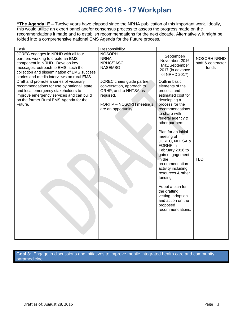**"The Agenda II"** – Twelve years have elapsed since the NRHA publication of this important work. Ideally, this would utilize an expert panel and/or consensus process to assess the progress made on the recommendations it made and to establish recommendations for the next decade. Alternatively, it might be folded into a comprehensive national EMS Agenda for the Future process.

| <b>Task</b>                                                                                                                                                                                                                                    | Responsibility                                                                                                                                 |                                                                                                                                                                                                                                                                                                                                                                                                                                                                                                           |                                            |
|------------------------------------------------------------------------------------------------------------------------------------------------------------------------------------------------------------------------------------------------|------------------------------------------------------------------------------------------------------------------------------------------------|-----------------------------------------------------------------------------------------------------------------------------------------------------------------------------------------------------------------------------------------------------------------------------------------------------------------------------------------------------------------------------------------------------------------------------------------------------------------------------------------------------------|--------------------------------------------|
| JCREC engages in NRHD with all four<br>partners working to create an EMS<br>component in NRHD. Develop key<br>messages, outreach to EMS, such the<br>collection and dissemination of EMS success<br>stories and media interviews on rural EMS. | <b>NOSORH</b><br><b>NRHA</b><br>NRHC/TASC<br><b>NASEMSO</b>                                                                                    | September/<br>November, 2016<br>May/September<br>2017 (in advance<br>of NRHD 2017)                                                                                                                                                                                                                                                                                                                                                                                                                        | NOSORH NRHD<br>staff & contractor<br>funds |
| Draft and promote a series of visionary<br>recommendations for use by national, state<br>and local emergency stakeholders to<br>improve emergency services and can build<br>on the former Rural EMS Agenda for the<br>Future.                  | JCREC chairs guide partner<br>conversation, approach to<br>ORHP, and to NHTSA as<br>required.<br>FORHP - NOSORH meetings<br>are an opportunity | Outline basic<br>elements of the<br>process and<br>estimated cost for<br>developing a<br>process for the<br>recommendations<br>to share with<br>federal agency &<br>other partners.<br>Plan for an initial<br>meeting of<br><b>JCREC, NHTSA &amp;</b><br>FORHP in<br>February 2016 to<br>gain engagement<br>in the<br>recommendation<br>activity including<br>resources & other<br>funding<br>Adopt a plan for<br>the drafting,<br>vetting, adoption<br>and action on the<br>proposed<br>recommendations. | <b>TBD</b>                                 |

**Goal 3**: Engage in discussions and initiatives to improve mobile integrated health care and community paramedicine.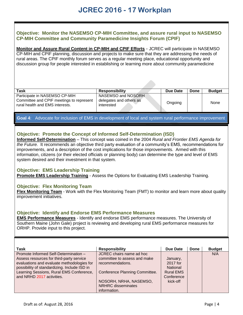### **Objective: Monitor the NASEMSO CP-MIH Committee, and assure rural input to NASEMSO CP-MIH Committee and Community Paramedicine Insights Forum (CPIF)**

**Monitor and Assure Rural Content in CP-MIH and CPIF Efforts** - JCREC will participate in NASEMSO CP-MIH and CPIF planning, discussion and projects to make sure that they are addressing the needs of rural areas. The CPIF monthly forum serves as a regular meeting place, educational opportunity and discussion group for people interested in establishing or learning more about community paramedicine

| Task                                                                                                         | <b>Responsibility</b>                                       | Due Date | Done | <b>Budget</b> |
|--------------------------------------------------------------------------------------------------------------|-------------------------------------------------------------|----------|------|---------------|
| Participate in NASEMSO CP-MIH<br>Committee and CPIF meetings to represent<br>rural health and EMS interests. | NASEMSO and NOSORH<br>delegates and others as<br>interested | Ongoing  |      | None          |

**Goal 4**: Advocate for inclusion of EMS in development of local and system rural performance improvement

### **Objective: Promote the Concept of Informed Self-Determination (ISD)**

**Informed Self-Determination** – This concept was coined in the 2004 *Rural and Frontier EMS Agenda for the Future.* It recommends an objective third party evaluation of a community's EMS, recommendations for improvements, and a description of the cost implications for those improvements. Armed with this information, citizens (or their elected officials or planning body) can determine the type and level of EMS system desired and their investment in that system.

### **Objective: EMS Leadership Training**

**Promote EMS Leadership Training** - Assess the Options for Evaluating EMS Leadership Training.

### **Objective: Flex Monitoring Team**

**Flex Monitoring Team** - Work with the Flex Monitoring Team (FMT) to monitor and learn more about quality improvement initiatives.

### **Objective: Identify and Endorse EMS Performance Measures**

**EMS Performance Measures** - Identify and endorse EMS performance measures. The University of Southern Maine (John Gale) project is reviewing and developing rural EMS performance measures for ORHP. Provide input to this project.

| Task                                         | <b>Responsibility</b>                 | Due Date         | Done | <b>Budget</b> |
|----------------------------------------------|---------------------------------------|------------------|------|---------------|
| Promote Informed Self-Determination -        | JCREC chairs name ad hoc              |                  |      | N/A           |
| Assess resources for third-party service     | committee to assess and make          | January,         |      |               |
| evaluations and evaluate methodologies for   | recommendations.                      | 2017 for         |      |               |
| possibility of standardizing. Include ISD in |                                       | <b>National</b>  |      |               |
| Learning Sessions, Rural EMS Conference,     | <b>Conference Planning Committee.</b> | <b>Rural EMS</b> |      |               |
| and NRHD 2017 activities.                    |                                       | Conference       |      |               |
|                                              | NOSORH, NRHA, NASEMSO,                | kick-off         |      |               |
|                                              | <b>NRHRC</b> disseminates             |                  |      |               |
|                                              | information.                          |                  |      |               |